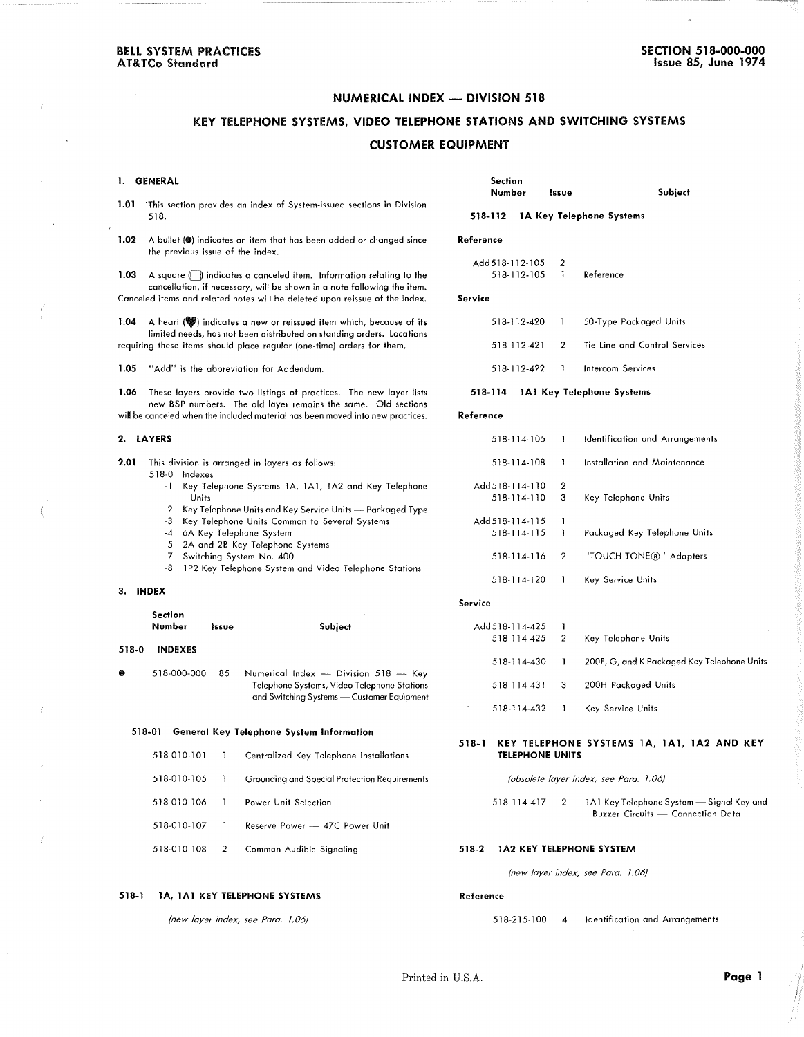### NUMERICAL INDEX - DIVISION 518

# KEY TELEPHONE SYSTEMS, VIDEO TELEPHONE STATIONS AND SWITCHING SYSTEMS CUSTOMER EQUIPMENT

### I. GENERAL Section Number Issue Subject 1.01 This section provides an index of System-issued sections in Division 518. 518-112 IA Key Telephone Systems 1.02 A bullet ( $\bullet$ ) indicates an item that has been added or changed since Reference the previous issue of the index. Add518-112·105 2 1.03 A square (iii) indicates a canceled item. Information relating to the 518-112-105 1 Reference cancellotion, if necessary, will be shown in a note following the item. Canceled items and related notes will be deleted upon reissue of the index. Service 50-Type Pockoged Units 1.04 A heart (W) indicates a new or reissued item which, because of its 518-112-420  $\overline{1}$ limited needs, has not been distributed on standing orders. Locations requiring these items should place regular (one-time) orders for them. 518-112-421 2 Tie Line and Control Services 1.05 "Add" is the abbreviation for Addendum. 518·112-422 Intercom Services 518-114 IAI Key Telephone Systems 1.06 These layers provide two listings of practices. The new layer lists new BSP numbers. The old layer remains the same. Old sections will be canceled when the included material has been moved into new practices. Reference 2. LAYERS 518-114·105 Identificotion and Arrangements  $\mathbf{1}$ 2.01 This division is arranged in layers as follows: 518-114-108  $\overline{1}$ Installation and Maintenance 518-0 Indexes Add518-114-110 2 -1 Key Telephone Systems 1A, 1A1, 1A2 and Key Telephone 518-114-110 3 Key Telephone Units Units -2 Key Telephone Units and Key Service Units - Packaged Type -3 Key Telephone Units Common to Several Systems Add 51 8- 114· 115  $\overline{1}$ -4 6A Key Telephone System 518-114-115 Packaged Key Telephone Units  $\mathbf{1}$ -5 2A and 2B Key Telephone Systems -7 Switching System No. 400 518-114-116 2 "TOUCH-TONE@" Adapters -8 1P2 Key Telephone System and Video Telephone Stations 518· 114- 120  $\overline{1}$ Key Service Units 3. INDEX Service Section Add518-114-425 1 Number Issue Subject 518·114·425 2 Key Telephone Units 518-0 INDEXES 518-114-430  $\overline{1}$ 200F, G, and KPackaged Key Telephone Units  $518-000-000$  85 Numerical Index - Division  $518$  - Key 200H Packaged Units Telephone Systems, Video Telephone Stations 518-114-431 3 and Switching Systems - Customer Equipment 518-114-432 Key Service Units  $\overline{1}$ 518-01 General Key Telephone System Information 518-1 KEY TELEPHONE SYSTEMS lA, IAI, IA2 AND KEY TELEPHONE UNITS 518-010-101  $\overline{1}$ Centralized Key Telephone Installations 518-010-105 Grounding and Special Protection Requirements *(obsolete layer index, see Para. 1.06)*  $\overline{1}$ 518-010-106  $\overline{\phantom{a}}$ Power Unit Selection 518-114-417 2 1A1 Key Telephone System - Signal Key and Buzzer Circuits - Connection Data Reserve Power - 47C Power Unit 518-010-107  $\overline{1}$ 518-010-108 2 Common Audible Signaling 518-2 IA2 KEY TELEPHONE SYSTEM *(new layer index, see Para. 1.06)*

*(new layer index, see Para. 1.06)*

518-1 lA, IAI KEY TELEPHONE SYSTEMS

518-215-100 4 Identification and Arrangements

Reference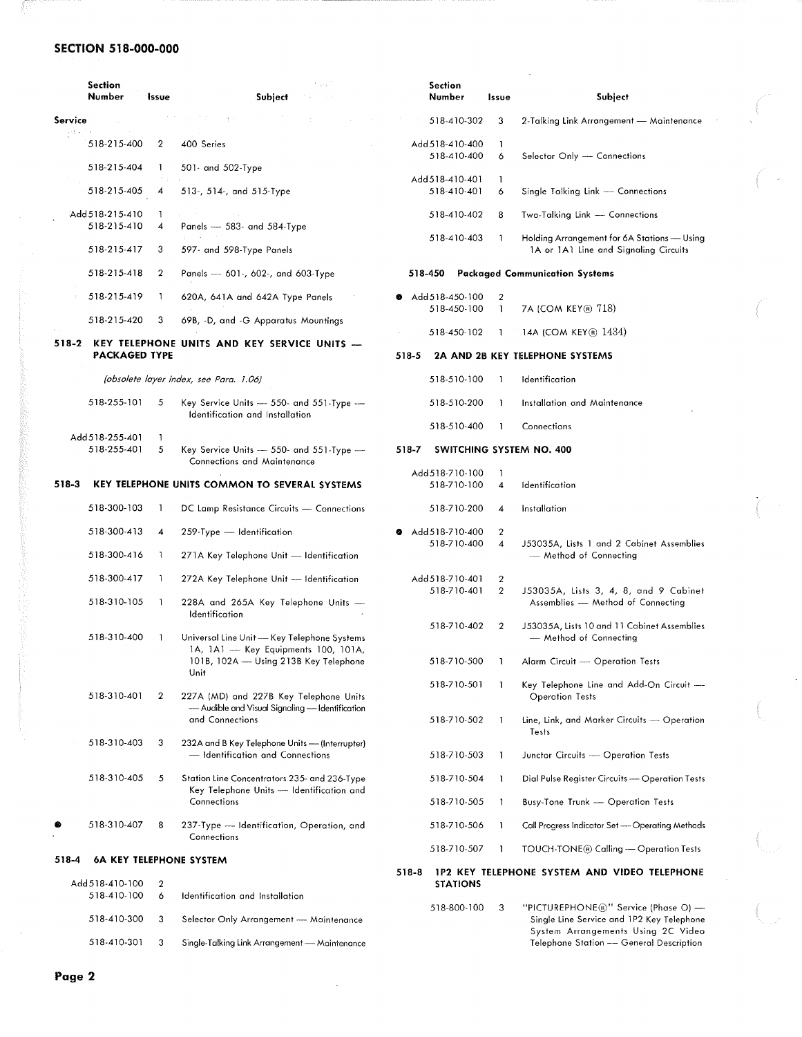## **SECTION 518-000-000**

Æ

|                                               | <b>Section</b><br>Number       | Issue            | t pa <sup>ns</sup><br>Subject                                                                                                                         |         | <b>Section</b><br>Number                                                        | Issue             | Subject                                                                              |  |  |
|-----------------------------------------------|--------------------------------|------------------|-------------------------------------------------------------------------------------------------------------------------------------------------------|---------|---------------------------------------------------------------------------------|-------------------|--------------------------------------------------------------------------------------|--|--|
| Service                                       |                                |                  | 3.7                                                                                                                                                   |         | 518-410-302                                                                     | 3                 | 2-Talking Link Arrangement — Maintenance                                             |  |  |
| $\frac{1}{2}$ , $\frac{1}{2}$ , $\frac{1}{2}$ | 518-215-400                    | 2                | 400 Series                                                                                                                                            |         | Add 518-410-400<br>518-410-400                                                  | 1<br>6            |                                                                                      |  |  |
|                                               | 518-215-404                    | 1                | 501- and 502-Type                                                                                                                                     |         |                                                                                 |                   | Selector Only - Connections                                                          |  |  |
|                                               | 518-215-405                    | $\boldsymbol{4}$ | 513-, 514-, and 515-Type                                                                                                                              |         | Add 518-410-401<br>518-410-401                                                  | $\mathbf{I}$<br>6 | Single Talking Link - Connections                                                    |  |  |
|                                               | Add 518-215-410<br>518-215-410 | 1                |                                                                                                                                                       |         | 518-410-402                                                                     | 8                 | Two-Talking Link - Connections                                                       |  |  |
|                                               | 518-215-417                    | 4<br>3           | Panels $-$ 583- and 584-Type<br>597- and 598-Type Panels                                                                                              |         | 518-410-403                                                                     | $\mathbf{1}$      | Holding Arrangement for 6A Stations - Using<br>1A or 1A1 Line and Signaling Circuits |  |  |
|                                               | 518-215-418                    | $\mathbf{2}$     | Panels $-$ 601-, 602-, and 603-Type                                                                                                                   | 518-450 |                                                                                 |                   | <b>Packaged Communication Systems</b>                                                |  |  |
|                                               | 518-215-419                    | Л.               | 620A, 641A and 642A Type Panels                                                                                                                       |         | Add 518-450-100                                                                 | 2                 |                                                                                      |  |  |
|                                               | 518-215-420                    | 3                | 69B, -D, and -G Apparatus Mountings                                                                                                                   |         | 518-450-100                                                                     | $\mathbf{1}$      | 7A (COM KEY® 718)                                                                    |  |  |
| 518-2                                         |                                |                  | KEY TELEPHONE UNITS AND KEY SERVICE UNITS -                                                                                                           |         | 518-450-102                                                                     | -1                | 14A (COM KEY® 1434)                                                                  |  |  |
| <b>PACKAGED TYPE</b>                          |                                |                  |                                                                                                                                                       |         |                                                                                 |                   | 2A AND 2B KEY TELEPHONE SYSTEMS                                                      |  |  |
|                                               |                                |                  | (obsolete layer index, see Para. 1.06)                                                                                                                |         | 518-510-100                                                                     | -1                | Identification                                                                       |  |  |
|                                               | 518-255-101                    | 5                | Key Service Units $-$ 550- and 551-Type $-$<br>Identification and Installation                                                                        |         | 518-510-200                                                                     | J.                | Installation and Maintenance                                                         |  |  |
|                                               | Add 518-255-401                | L                |                                                                                                                                                       |         | 518-510-400                                                                     | -1                | Connections                                                                          |  |  |
|                                               | 518-255-401                    | 5                | Key Service Units $-$ 550- and 551-Type $-$<br><b>Connections and Maintenance</b>                                                                     | 518-7   |                                                                                 |                   | SWITCHING SYSTEM NO. 400                                                             |  |  |
| 518-3                                         |                                |                  | <b>KEY TELEPHONE UNITS COMMON TO SEVERAL SYSTEMS</b>                                                                                                  |         | Add 518-710-100<br>518-710-100                                                  | -1<br>4           | Identification                                                                       |  |  |
|                                               | 518-300-103                    | $\mathbf{I}$     | DC Lamp Resistance Circuits - Connections                                                                                                             |         | 518-710-200                                                                     | 4                 | Installation                                                                         |  |  |
|                                               | 518-300-413                    | 4                | 259-Type - Identification                                                                                                                             |         | Add 518-710-400                                                                 | $\overline{2}$    |                                                                                      |  |  |
|                                               | 518-300-416                    | П.               | 271A Key Telephone Unit - Identification                                                                                                              |         | 518-710-400                                                                     | 4                 | J53035A, Lists 1 and 2 Cabinet Assemblies<br>- Method of Connecting                  |  |  |
|                                               | 518-300-417                    | 1                | 272A Key Telephone Unit - Identification                                                                                                              |         | Add 518-710-401                                                                 | $\boldsymbol{2}$  |                                                                                      |  |  |
|                                               | 518-310-105                    | 1                | 228A and 265A Key Telephone Units -                                                                                                                   |         | 518-710-401                                                                     | $\overline{2}$    | J53035A, Lists 3, 4, 8, and 9 Cabinet<br>Assemblies - Method of Connecting           |  |  |
|                                               | 518-310-400                    | $\mathbf{I}$     | Identification<br>Universal Line Unit - Key Telephone Systems<br>1A, 1A1 - Key Equipments 100, 101A,<br>101B, 102A - Using 213B Key Telephone<br>Unit |         | 518-710-402                                                                     | $\overline{2}$    | J53035A, Lists 10 and 11 Cabinet Assemblies<br>- Method of Connecting                |  |  |
|                                               |                                |                  |                                                                                                                                                       |         |                                                                                 |                   |                                                                                      |  |  |
|                                               |                                |                  |                                                                                                                                                       |         | 518-710-500                                                                     | -1                | Alarm Circuit - Operation Tests                                                      |  |  |
|                                               | 518-310-401                    | 2                | 227A (MD) and 227B Key Telephone Units                                                                                                                |         | 518-710-501                                                                     | -1                | Key Telephone Line and Add-On Circuit -<br><b>Operation Tests</b>                    |  |  |
|                                               |                                |                  | - Audible and Visual Signaling - Identification<br>and Connections                                                                                    |         | 518-710-502                                                                     | -1                | Line, Link, and Marker Circuits - Operation                                          |  |  |
|                                               | 518-310-403                    | 3                | 232A and B Key Telephone Units - (Interrupter)                                                                                                        |         |                                                                                 |                   | Tests                                                                                |  |  |
|                                               |                                |                  | — Identification and Connections                                                                                                                      |         | 518-710-503                                                                     | $\mathbf{1}$      | Junctor Circuits - Operation Tests                                                   |  |  |
|                                               | 518-310-405                    | 5                | Station Line Concentrators 235- and 236-Type<br>Key Telephone Units - Identification and<br>Connections                                               |         | 518-710-504                                                                     | $\mathbf{1}$      | Dial Pulse Register Circuits - Operation Tests                                       |  |  |
|                                               |                                |                  |                                                                                                                                                       |         | 518-710-505                                                                     | -1                | Busy-Tone Trunk - Operation Tests                                                    |  |  |
|                                               | 518-310-407                    | 8                | 237-Type - Identification, Operation, and<br>Connections                                                                                              |         | 518-710-506                                                                     | $\mathbf{1}$      | Call Progress Indicator Set - Operating Methods                                      |  |  |
| 518-4<br>6A KEY TELEPHONE SYSTEM              |                                |                  |                                                                                                                                                       |         | 518-710-507                                                                     | -1                | TOUCH-TONE® Calling — Operation Tests                                                |  |  |
| Add 518-410-100<br>$\boldsymbol{2}$           |                                |                  |                                                                                                                                                       |         | <b>1P2 KEY TELEPHONE SYSTEM AND VIDEO TELEPHONE</b><br>518-8<br><b>STATIONS</b> |                   |                                                                                      |  |  |
|                                               | 518-410-100                    | 6                | Identification and Installation                                                                                                                       |         |                                                                                 |                   | "PICTUREPHONE®" Service (Phase O) -                                                  |  |  |
|                                               | 518-410-300                    | 3                | Selector Only Arrangement - Maintenance                                                                                                               |         | 518-800-100                                                                     | 3                 | Single Line Service and 1P2 Key Telephone                                            |  |  |
| 518-410-301                                   |                                | 3                | Single-Talking Link Arrangement - Maintenance                                                                                                         |         |                                                                                 |                   | System Arrangements Using 2C Video<br>Telephone Station - General Description        |  |  |

l.

 $\sim$ 

 $\mathbb{R}^2$ 

 $\overline{\phantom{a}}$ 

 $\label{eq:1} \begin{array}{ll} \displaystyle \left\langle \frac{1}{2} \, \frac{1}{2} \, \frac{1}{2} \, \frac{1}{2} \, \frac{1}{2} \, \frac{1}{2} \, \frac{1}{2} \, \frac{1}{2} \, \frac{1}{2} \, \frac{1}{2} \, \frac{1}{2} \, \frac{1}{2} \, \frac{1}{2} \, \frac{1}{2} \, \frac{1}{2} \, \frac{1}{2} \, \frac{1}{2} \, \frac{1}{2} \, \frac{1}{2} \, \frac{1}{2} \, \frac{1}{2} \, \frac{1}{2} \, \$ 

 $\cdot$